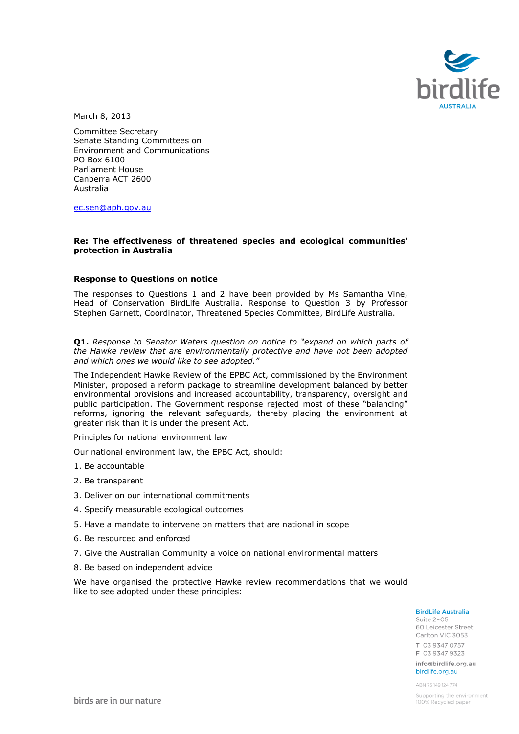

March 8, 2013

Committee Secretary Senate Standing Committees on Environment and Communications PO Box 6100 Parliament House Canberra ACT 2600 Australia

[ec.sen@aph.gov.au](mailto:ec.sen@aph.gov.au)

### **Re: The effectiveness of threatened species and ecological communities' protection in Australia**

#### **Response to Questions on notice**

The responses to Questions 1 and 2 have been provided by Ms Samantha Vine, Head of Conservation BirdLife Australia. Response to Question 3 by Professor Stephen Garnett, Coordinator, Threatened Species Committee, BirdLife Australia.

**Q1.** *Response to Senator Waters question on notice to "expand on which parts of the Hawke review that are environmentally protective and have not been adopted and which ones we would like to see adopted."*

The Independent Hawke Review of the EPBC Act, commissioned by the Environment Minister, proposed a reform package to streamline development balanced by better environmental provisions and increased accountability, transparency, oversight and public participation. The Government response rejected most of these "balancing" reforms, ignoring the relevant safeguards, thereby placing the environment at greater risk than it is under the present Act.

Principles for national environment law

Our national environment law, the EPBC Act, should:

- 1. Be accountable
- 2. Be transparent
- 3. Deliver on our international commitments
- 4. Specify measurable ecological outcomes
- 5. Have a mandate to intervene on matters that are national in scope
- 6. Be resourced and enforced
- 7. Give the Australian Community a voice on national environmental matters
- 8. Be based on independent advice

We have organised the protective Hawke review recommendations that we would like to see adopted under these principles:

#### **BirdLife Australia**

Suite 2-05 60 Leicester Street Carlton VIC 3053 T 03 9347 0757 F 03 9347 9323 info@birdlife.org.au

birdlife.org.au ABN 75149124774

Supporting the environment 100% Recycled paper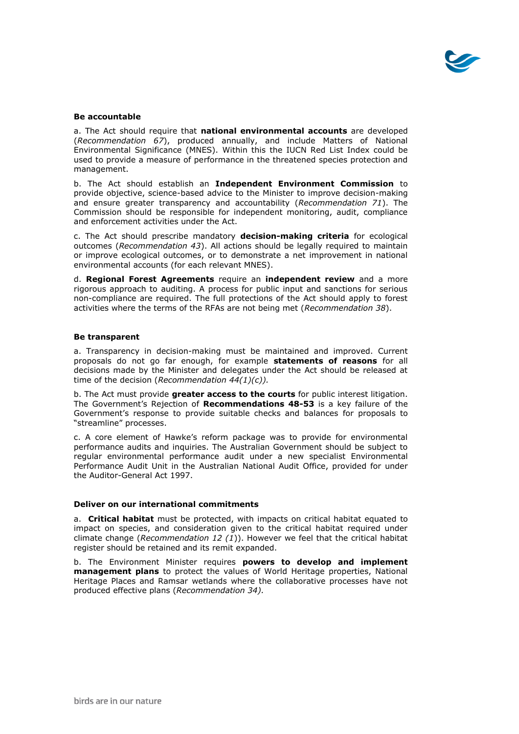

# **Be accountable**

a. The Act should require that **national environmental accounts** are developed (*Recommendation 67*), produced annually, and include Matters of National Environmental Significance (MNES). Within this the IUCN Red List Index could be used to provide a measure of performance in the threatened species protection and management.

b. The Act should establish an **Independent Environment Commission** to provide objective, science-based advice to the Minister to improve decision-making and ensure greater transparency and accountability (*Recommendation 71*). The Commission should be responsible for independent monitoring, audit, compliance and enforcement activities under the Act.

c. The Act should prescribe mandatory **decision-making criteria** for ecological outcomes (*Recommendation 43*). All actions should be legally required to maintain or improve ecological outcomes, or to demonstrate a net improvement in national environmental accounts (for each relevant MNES).

d. **Regional Forest Agreements** require an **independent review** and a more rigorous approach to auditing. A process for public input and sanctions for serious non-compliance are required. The full protections of the Act should apply to forest activities where the terms of the RFAs are not being met (*Recommendation 38*).

# **Be transparent**

a. Transparency in decision-making must be maintained and improved. Current proposals do not go far enough, for example **statements of reasons** for all decisions made by the Minister and delegates under the Act should be released at time of the decision (*Recommendation 44(1)(c)).*

b. The Act must provide **greater access to the courts** for public interest litigation. The Government's Rejection of **Recommendations 48-53** is a key failure of the Government's response to provide suitable checks and balances for proposals to "streamline" processes.

c. A core element of Hawke's reform package was to provide for environmental performance audits and inquiries. The Australian Government should be subject to regular environmental performance audit under a new specialist Environmental Performance Audit Unit in the Australian National Audit Office, provided for under the Auditor-General Act 1997.

# **Deliver on our international commitments**

a. **Critical habitat** must be protected, with impacts on critical habitat equated to impact on species, and consideration given to the critical habitat required under climate change (*Recommendation 12 (1*)). However we feel that the critical habitat register should be retained and its remit expanded.

b. The Environment Minister requires **powers to develop and implement management plans** to protect the values of World Heritage properties, National Heritage Places and Ramsar wetlands where the collaborative processes have not produced effective plans (*Recommendation 34).*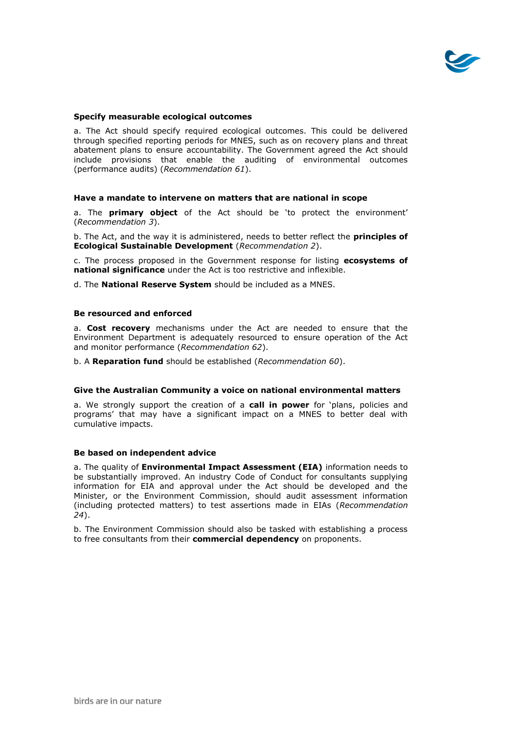

# **Specify measurable ecological outcomes**

a. The Act should specify required ecological outcomes. This could be delivered through specified reporting periods for MNES, such as on recovery plans and threat abatement plans to ensure accountability. The Government agreed the Act should include provisions that enable the auditing of environmental outcomes (performance audits) (*Recommendation 61*).

#### **Have a mandate to intervene on matters that are national in scope**

a. The **primary object** of the Act should be 'to protect the environment' (*Recommendation 3*).

b. The Act, and the way it is administered, needs to better reflect the **principles of Ecological Sustainable Development** (*Recommendation 2*).

c. The process proposed in the Government response for listing **ecosystems of national significance** under the Act is too restrictive and inflexible.

d. The **National Reserve System** should be included as a MNES.

#### **Be resourced and enforced**

a. **Cost recovery** mechanisms under the Act are needed to ensure that the Environment Department is adequately resourced to ensure operation of the Act and monitor performance (*Recommendation 62*).

b. A **Reparation fund** should be established (*Recommendation 60*).

### **Give the Australian Community a voice on national environmental matters**

a. We strongly support the creation of a **call in power** for 'plans, policies and programs' that may have a significant impact on a MNES to better deal with cumulative impacts.

# **Be based on independent advice**

a. The quality of **Environmental Impact Assessment (EIA)** information needs to be substantially improved. An industry Code of Conduct for consultants supplying information for EIA and approval under the Act should be developed and the Minister, or the Environment Commission, should audit assessment information (including protected matters) to test assertions made in EIAs (*Recommendation 24*).

b. The Environment Commission should also be tasked with establishing a process to free consultants from their **commercial dependency** on proponents.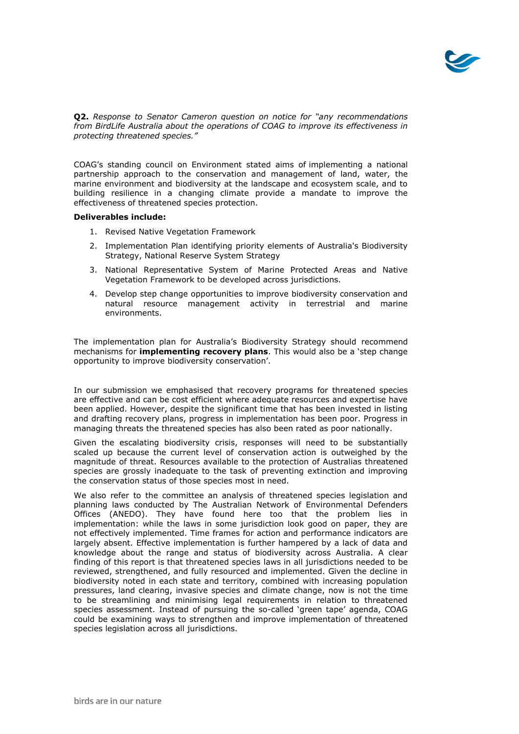

**Q2.** *Response to Senator Cameron question on notice for "any recommendations from BirdLife Australia about the operations of COAG to improve its effectiveness in protecting threatened species."*

COAG's standing council on Environment stated aims of implementing a national partnership approach to the conservation and management of land, water, the marine environment and biodiversity at the landscape and ecosystem scale, and to building resilience in a changing climate provide a mandate to improve the effectiveness of threatened species protection.

### **Deliverables include:**

- 1. Revised Native Vegetation Framework
- 2. Implementation Plan identifying priority elements of Australia's Biodiversity Strategy, National Reserve System Strategy
- 3. National Representative System of Marine Protected Areas and Native Vegetation Framework to be developed across jurisdictions.
- 4. Develop step change opportunities to improve biodiversity conservation and natural resource management activity in terrestrial and marine environments.

The implementation plan for Australia's Biodiversity Strategy should recommend mechanisms for **implementing recovery plans**. This would also be a 'step change opportunity to improve biodiversity conservation'.

In our submission we emphasised that recovery programs for threatened species are effective and can be cost efficient where adequate resources and expertise have been applied. However, despite the significant time that has been invested in listing and drafting recovery plans, progress in implementation has been poor. Progress in managing threats the threatened species has also been rated as poor nationally.

Given the escalating biodiversity crisis, responses will need to be substantially scaled up because the current level of conservation action is outweighed by the magnitude of threat. Resources available to the protection of Australias threatened species are grossly inadequate to the task of preventing extinction and improving the conservation status of those species most in need.

We also refer to the committee an analysis of threatened species legislation and planning laws conducted by The Australian Network of Environmental Defenders Offices (ANEDO). They have found here too that the problem lies in implementation: while the laws in some jurisdiction look good on paper, they are not effectively implemented. Time frames for action and performance indicators are largely absent. Effective implementation is further hampered by a lack of data and knowledge about the range and status of biodiversity across Australia. A clear finding of this report is that threatened species laws in all jurisdictions needed to be reviewed, strengthened, and fully resourced and implemented. Given the decline in biodiversity noted in each state and territory, combined with increasing population pressures, land clearing, invasive species and climate change, now is not the time to be streamlining and minimising legal requirements in relation to threatened species assessment. Instead of pursuing the so-called 'green tape' agenda, COAG could be examining ways to strengthen and improve implementation of threatened species legislation across all jurisdictions.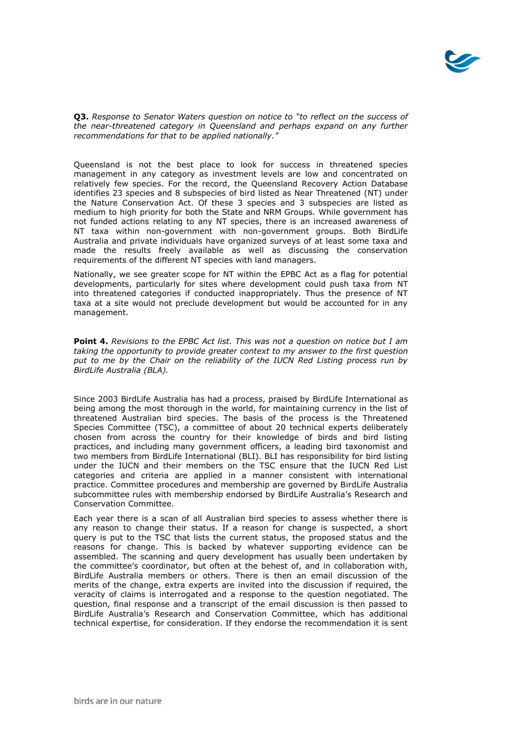

**Q3.** *Response to Senator Waters question on notice to "to reflect on the success of the near-threatened category in Queensland and perhaps expand on any further recommendations for that to be applied nationally."*

Queensland is not the best place to look for success in threatened species management in any category as investment levels are low and concentrated on relatively few species. For the record, the Queensland Recovery Action Database identifies 23 species and 8 subspecies of bird listed as Near Threatened (NT) under the Nature Conservation Act. Of these 3 species and 3 subspecies are listed as medium to high priority for both the State and NRM Groups. While government has not funded actions relating to any NT species, there is an increased awareness of NT taxa within non-government with non-government groups. Both BirdLife Australia and private individuals have organized surveys of at least some taxa and made the results freely available as well as discussing the conservation requirements of the different NT species with land managers.

Nationally, we see greater scope for NT within the EPBC Act as a flag for potential developments, particularly for sites where development could push taxa from NT into threatened categories if conducted inappropriately. Thus the presence of NT taxa at a site would not preclude development but would be accounted for in any management.

**Point 4.** *Revisions to the EPBC Act list. This was not a question on notice but I am taking the opportunity to provide greater context to my answer to the first question put to me by the Chair on the reliability of the IUCN Red Listing process run by BirdLife Australia (BLA).* 

Since 2003 BirdLife Australia has had a process, praised by BirdLife International as being among the most thorough in the world, for maintaining currency in the list of threatened Australian bird species. The basis of the process is the Threatened Species Committee (TSC), a committee of about 20 technical experts deliberately chosen from across the country for their knowledge of birds and bird listing practices, and including many government officers, a leading bird taxonomist and two members from BirdLife International (BLI). BLI has responsibility for bird listing under the IUCN and their members on the TSC ensure that the IUCN Red List categories and criteria are applied in a manner consistent with international practice. Committee procedures and membership are governed by BirdLife Australia subcommittee rules with membership endorsed by BirdLife Australia's Research and Conservation Committee.

Each year there is a scan of all Australian bird species to assess whether there is any reason to change their status. If a reason for change is suspected, a short query is put to the TSC that lists the current status, the proposed status and the reasons for change. This is backed by whatever supporting evidence can be assembled. The scanning and query development has usually been undertaken by the committee's coordinator, but often at the behest of, and in collaboration with, BirdLife Australia members or others. There is then an email discussion of the merits of the change, extra experts are invited into the discussion if required, the veracity of claims is interrogated and a response to the question negotiated. The question, final response and a transcript of the email discussion is then passed to BirdLife Australia's Research and Conservation Committee, which has additional technical expertise, for consideration. If they endorse the recommendation it is sent